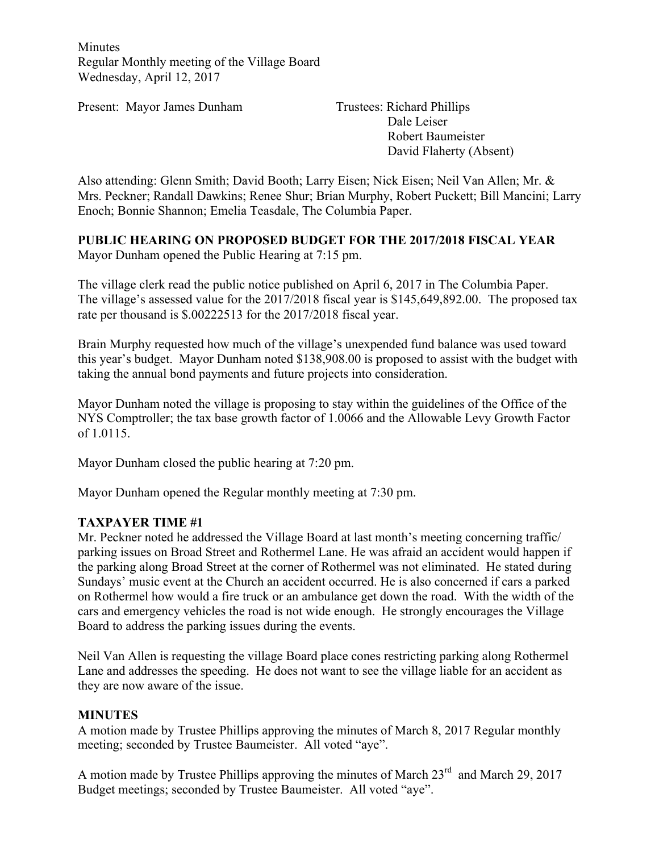Minutes Regular Monthly meeting of the Village Board Wednesday, April 12, 2017

Present: Mayor James Dunham Trustees: Richard Phillips

Dale Leiser Robert Baumeister David Flaherty (Absent)

Also attending: Glenn Smith; David Booth; Larry Eisen; Nick Eisen; Neil Van Allen; Mr. & Mrs. Peckner; Randall Dawkins; Renee Shur; Brian Murphy, Robert Puckett; Bill Mancini; Larry Enoch; Bonnie Shannon; Emelia Teasdale, The Columbia Paper.

# **PUBLIC HEARING ON PROPOSED BUDGET FOR THE 2017/2018 FISCAL YEAR**

Mayor Dunham opened the Public Hearing at 7:15 pm.

The village clerk read the public notice published on April 6, 2017 in The Columbia Paper. The village's assessed value for the 2017/2018 fiscal year is \$145,649,892.00. The proposed tax rate per thousand is \$.00222513 for the 2017/2018 fiscal year.

Brain Murphy requested how much of the village's unexpended fund balance was used toward this year's budget. Mayor Dunham noted \$138,908.00 is proposed to assist with the budget with taking the annual bond payments and future projects into consideration.

Mayor Dunham noted the village is proposing to stay within the guidelines of the Office of the NYS Comptroller; the tax base growth factor of 1.0066 and the Allowable Levy Growth Factor of 1.0115.

Mayor Dunham closed the public hearing at 7:20 pm.

Mayor Dunham opened the Regular monthly meeting at 7:30 pm.

## **TAXPAYER TIME #1**

Mr. Peckner noted he addressed the Village Board at last month's meeting concerning traffic/ parking issues on Broad Street and Rothermel Lane. He was afraid an accident would happen if the parking along Broad Street at the corner of Rothermel was not eliminated. He stated during Sundays' music event at the Church an accident occurred. He is also concerned if cars a parked on Rothermel how would a fire truck or an ambulance get down the road. With the width of the cars and emergency vehicles the road is not wide enough. He strongly encourages the Village Board to address the parking issues during the events.

Neil Van Allen is requesting the village Board place cones restricting parking along Rothermel Lane and addresses the speeding. He does not want to see the village liable for an accident as they are now aware of the issue.

## **MINUTES**

A motion made by Trustee Phillips approving the minutes of March 8, 2017 Regular monthly meeting; seconded by Trustee Baumeister. All voted "aye".

A motion made by Trustee Phillips approving the minutes of March  $23<sup>rd</sup>$  and March 29, 2017 Budget meetings; seconded by Trustee Baumeister. All voted "aye".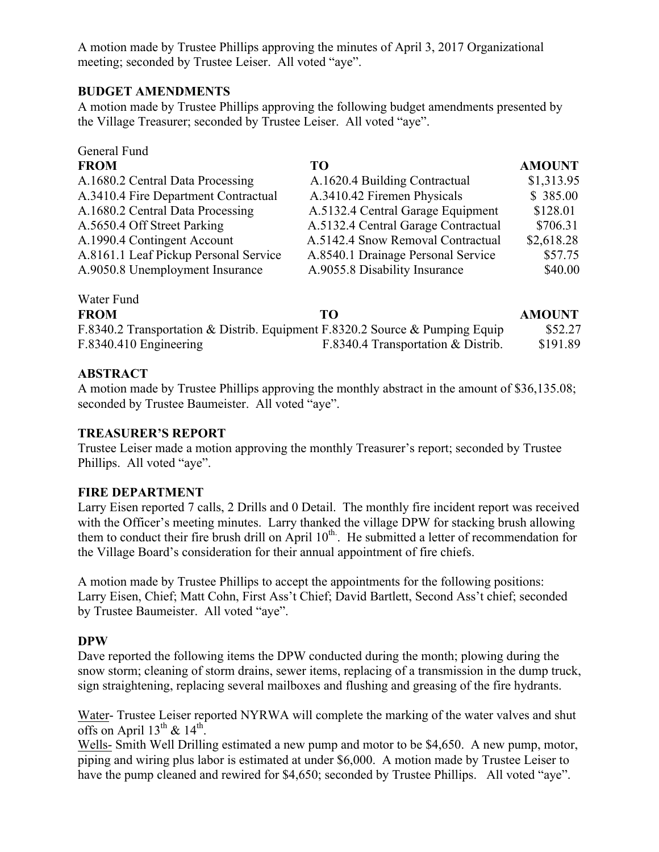A motion made by Trustee Phillips approving the minutes of April 3, 2017 Organizational meeting; seconded by Trustee Leiser. All voted "aye".

#### **BUDGET AMENDMENTS**

A motion made by Trustee Phillips approving the following budget amendments presented by the Village Treasurer; seconded by Trustee Leiser. All voted "aye".

| General Fund                          |                                     |               |
|---------------------------------------|-------------------------------------|---------------|
| <b>FROM</b>                           | TO                                  | <b>AMOUNT</b> |
| A.1680.2 Central Data Processing      | A.1620.4 Building Contractual       | \$1,313.95    |
| A.3410.4 Fire Department Contractual  | A.3410.42 Firemen Physicals         | \$385.00      |
| A.1680.2 Central Data Processing      | A.5132.4 Central Garage Equipment   | \$128.01      |
| A.5650.4 Off Street Parking           | A.5132.4 Central Garage Contractual | \$706.31      |
| A.1990.4 Contingent Account           | A.5142.4 Snow Removal Contractual   | \$2,618.28    |
| A.8161.1 Leaf Pickup Personal Service | A.8540.1 Drainage Personal Service  | \$57.75       |
| A.9050.8 Unemployment Insurance       | A.9055.8 Disability Insurance       | \$40.00       |
|                                       |                                     |               |

# Water Fund

| <b>FROM</b>            | TО                                                                           | <b>AMOUNT</b> |
|------------------------|------------------------------------------------------------------------------|---------------|
|                        | F.8340.2 Transportation & Distrib. Equipment F.8320.2 Source & Pumping Equip | \$52.27       |
| F.8340.410 Engineering | F.8340.4 Transportation & Distrib.                                           | \$191.89      |

## **ABSTRACT**

A motion made by Trustee Phillips approving the monthly abstract in the amount of \$36,135.08; seconded by Trustee Baumeister. All voted "aye".

#### **TREASURER'S REPORT**

Trustee Leiser made a motion approving the monthly Treasurer's report; seconded by Trustee Phillips. All voted "aye".

## **FIRE DEPARTMENT**

Larry Eisen reported 7 calls, 2 Drills and 0 Detail. The monthly fire incident report was received with the Officer's meeting minutes. Larry thanked the village DPW for stacking brush allowing them to conduct their fire brush drill on April 10<sup>th</sup>. He submitted a letter of recommendation for the Village Board's consideration for their annual appointment of fire chiefs.

A motion made by Trustee Phillips to accept the appointments for the following positions: Larry Eisen, Chief; Matt Cohn, First Ass't Chief; David Bartlett, Second Ass't chief; seconded by Trustee Baumeister. All voted "aye".

## **DPW**

Dave reported the following items the DPW conducted during the month; plowing during the snow storm; cleaning of storm drains, sewer items, replacing of a transmission in the dump truck, sign straightening, replacing several mailboxes and flushing and greasing of the fire hydrants.

Water- Trustee Leiser reported NYRWA will complete the marking of the water valves and shut offs on April  $13^{th}$  &  $14^{th}$ .

Wells- Smith Well Drilling estimated a new pump and motor to be \$4,650. A new pump, motor, piping and wiring plus labor is estimated at under \$6,000. A motion made by Trustee Leiser to have the pump cleaned and rewired for \$4,650; seconded by Trustee Phillips. All voted "aye".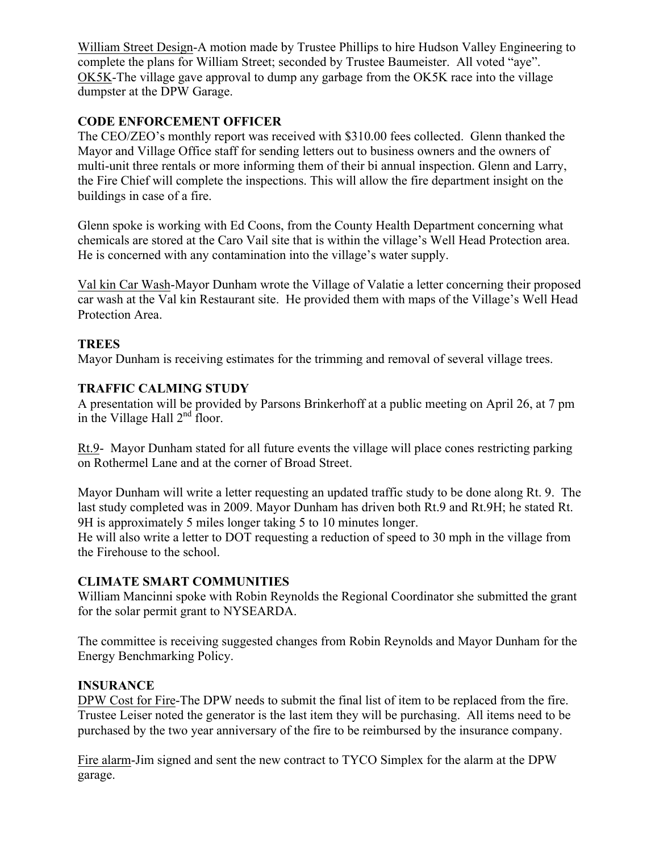William Street Design-A motion made by Trustee Phillips to hire Hudson Valley Engineering to complete the plans for William Street; seconded by Trustee Baumeister. All voted "aye". OK5K-The village gave approval to dump any garbage from the OK5K race into the village dumpster at the DPW Garage.

# **CODE ENFORCEMENT OFFICER**

The CEO/ZEO's monthly report was received with \$310.00 fees collected. Glenn thanked the Mayor and Village Office staff for sending letters out to business owners and the owners of multi-unit three rentals or more informing them of their bi annual inspection. Glenn and Larry, the Fire Chief will complete the inspections. This will allow the fire department insight on the buildings in case of a fire.

Glenn spoke is working with Ed Coons, from the County Health Department concerning what chemicals are stored at the Caro Vail site that is within the village's Well Head Protection area. He is concerned with any contamination into the village's water supply.

Val kin Car Wash-Mayor Dunham wrote the Village of Valatie a letter concerning their proposed car wash at the Val kin Restaurant site. He provided them with maps of the Village's Well Head Protection Area.

## **TREES**

Mayor Dunham is receiving estimates for the trimming and removal of several village trees.

#### **TRAFFIC CALMING STUDY**

A presentation will be provided by Parsons Brinkerhoff at a public meeting on April 26, at 7 pm in the Village Hall  $2<sup>nd</sup>$  floor.

Rt.9- Mayor Dunham stated for all future events the village will place cones restricting parking on Rothermel Lane and at the corner of Broad Street.

Mayor Dunham will write a letter requesting an updated traffic study to be done along Rt. 9. The last study completed was in 2009. Mayor Dunham has driven both Rt.9 and Rt.9H; he stated Rt. 9H is approximately 5 miles longer taking 5 to 10 minutes longer.

He will also write a letter to DOT requesting a reduction of speed to 30 mph in the village from the Firehouse to the school.

## **CLIMATE SMART COMMUNITIES**

William Mancinni spoke with Robin Reynolds the Regional Coordinator she submitted the grant for the solar permit grant to NYSEARDA.

The committee is receiving suggested changes from Robin Reynolds and Mayor Dunham for the Energy Benchmarking Policy.

#### **INSURANCE**

DPW Cost for Fire-The DPW needs to submit the final list of item to be replaced from the fire. Trustee Leiser noted the generator is the last item they will be purchasing. All items need to be purchased by the two year anniversary of the fire to be reimbursed by the insurance company.

Fire alarm-Jim signed and sent the new contract to TYCO Simplex for the alarm at the DPW garage.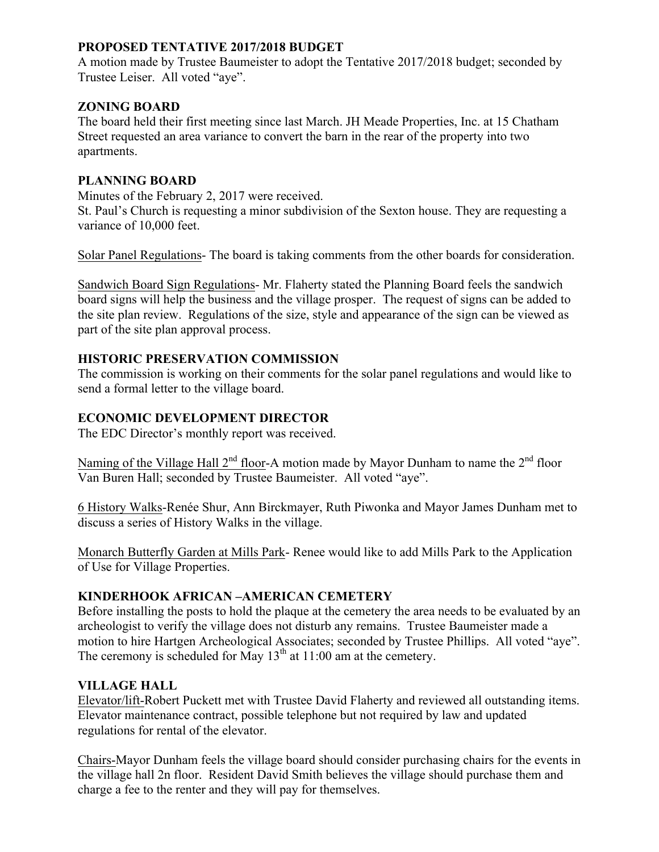# **PROPOSED TENTATIVE 2017/2018 BUDGET**

A motion made by Trustee Baumeister to adopt the Tentative 2017/2018 budget; seconded by Trustee Leiser. All voted "aye".

#### **ZONING BOARD**

The board held their first meeting since last March. JH Meade Properties, Inc. at 15 Chatham Street requested an area variance to convert the barn in the rear of the property into two apartments.

#### **PLANNING BOARD**

Minutes of the February 2, 2017 were received.

St. Paul's Church is requesting a minor subdivision of the Sexton house. They are requesting a variance of 10,000 feet.

Solar Panel Regulations- The board is taking comments from the other boards for consideration.

Sandwich Board Sign Regulations- Mr. Flaherty stated the Planning Board feels the sandwich board signs will help the business and the village prosper. The request of signs can be added to the site plan review. Regulations of the size, style and appearance of the sign can be viewed as part of the site plan approval process.

#### **HISTORIC PRESERVATION COMMISSION**

The commission is working on their comments for the solar panel regulations and would like to send a formal letter to the village board.

#### **ECONOMIC DEVELOPMENT DIRECTOR**

The EDC Director's monthly report was received.

Naming of the Village Hall  $2^{nd}$  floor-A motion made by Mayor Dunham to name the  $2^{nd}$  floor Van Buren Hall; seconded by Trustee Baumeister. All voted "aye".

6 History Walks-Renée Shur, Ann Birckmayer, Ruth Piwonka and Mayor James Dunham met to discuss a series of History Walks in the village.

Monarch Butterfly Garden at Mills Park- Renee would like to add Mills Park to the Application of Use for Village Properties.

#### **KINDERHOOK AFRICAN –AMERICAN CEMETERY**

Before installing the posts to hold the plaque at the cemetery the area needs to be evaluated by an archeologist to verify the village does not disturb any remains. Trustee Baumeister made a motion to hire Hartgen Archeological Associates; seconded by Trustee Phillips. All voted "aye". The ceremony is scheduled for May  $13<sup>th</sup>$  at 11:00 am at the cemetery.

#### **VILLAGE HALL**

Elevator/lift-Robert Puckett met with Trustee David Flaherty and reviewed all outstanding items. Elevator maintenance contract, possible telephone but not required by law and updated regulations for rental of the elevator.

Chairs-Mayor Dunham feels the village board should consider purchasing chairs for the events in the village hall 2n floor. Resident David Smith believes the village should purchase them and charge a fee to the renter and they will pay for themselves.